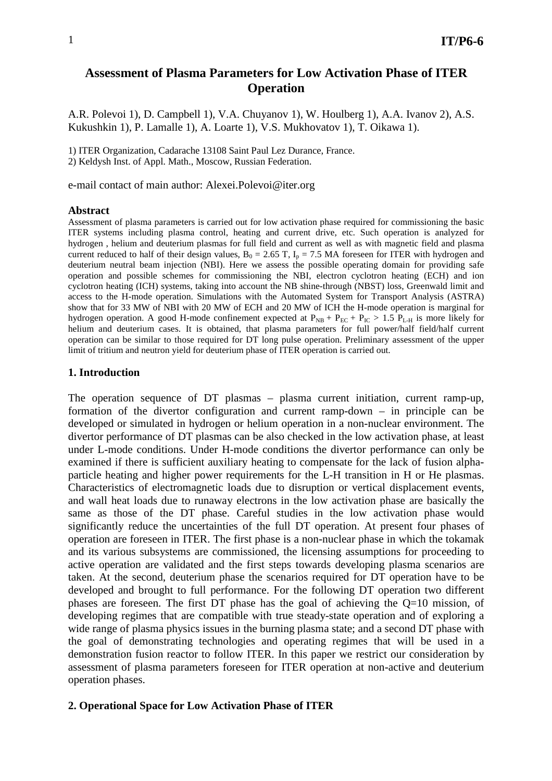# **Assessment of Plasma Parameters for Low Activation Phase of ITER Operation**

A.R. Polevoi 1), D. Campbell 1), V.A. Chuyanov 1), W. Houlberg 1), A.A. Ivanov 2), A.S. Kukushkin 1), P. Lamalle 1), A. Loarte 1), V.S. Mukhovatov 1), T. Oikawa 1).

1) ITER Organization, Cadarache 13108 Saint Paul Lez Durance, France. 2) Keldysh Inst. of Appl. Math., Moscow, Russian Federation.

e-mail contact of main author: Alexei.Polevoi@iter.org

#### **Abstract**

Assessment of plasma parameters is carried out for low activation phase required for commissioning the basic ITER systems including plasma control, heating and current drive, etc. Such operation is analyzed for hydrogen , helium and deuterium plasmas for full field and current as well as with magnetic field and plasma current reduced to half of their design values,  $B_0 = 2.65$  T,  $I_p = 7.5$  MA foreseen for ITER with hydrogen and deuterium neutral beam injection (NBI). Here we assess the possible operating domain for providing safe operation and possible schemes for commissioning the NBI, electron cyclotron heating (ECH) and ion cyclotron heating (ICH) systems, taking into account the NB shine-through (NBST) loss, Greenwald limit and access to the H-mode operation. Simulations with the Automated System for Transport Analysis (ASTRA) show that for 33 MW of NBI with 20 MW of ECH and 20 MW of ICH the H-mode operation is marginal for hydrogen operation. A good H-mode confinement expected at  $P_{NB} + P_{EC} + P_{IC} > 1.5 P_{L-H}$  is more likely for helium and deuterium cases. It is obtained, that plasma parameters for full power/half field/half current operation can be similar to those required for DT long pulse operation. Preliminary assessment of the upper limit of tritium and neutron yield for deuterium phase of ITER operation is carried out.

#### **1. Introduction**

The operation sequence of DT plasmas – plasma current initiation, current ramp-up, formation of the divertor configuration and current ramp-down – in principle can be developed or simulated in hydrogen or helium operation in a non-nuclear environment. The divertor performance of DT plasmas can be also checked in the low activation phase, at least under L-mode conditions. Under H-mode conditions the divertor performance can only be examined if there is sufficient auxiliary heating to compensate for the lack of fusion alphaparticle heating and higher power requirements for the L-H transition in H or He plasmas. Characteristics of electromagnetic loads due to disruption or vertical displacement events, and wall heat loads due to runaway electrons in the low activation phase are basically the same as those of the DT phase. Careful studies in the low activation phase would significantly reduce the uncertainties of the full DT operation. At present four phases of operation are foreseen in ITER. The first phase is a non-nuclear phase in which the tokamak and its various subsystems are commissioned, the licensing assumptions for proceeding to active operation are validated and the first steps towards developing plasma scenarios are taken. At the second, deuterium phase the scenarios required for DT operation have to be developed and brought to full performance. For the following DT operation two different phases are foreseen. The first DT phase has the goal of achieving the Q=10 mission, of developing regimes that are compatible with true steady-state operation and of exploring a wide range of plasma physics issues in the burning plasma state; and a second DT phase with the goal of demonstrating technologies and operating regimes that will be used in a demonstration fusion reactor to follow ITER. In this paper we restrict our consideration by assessment of plasma parameters foreseen for ITER operation at non-active and deuterium operation phases.

#### **2. Operational Space for Low Activation Phase of ITER**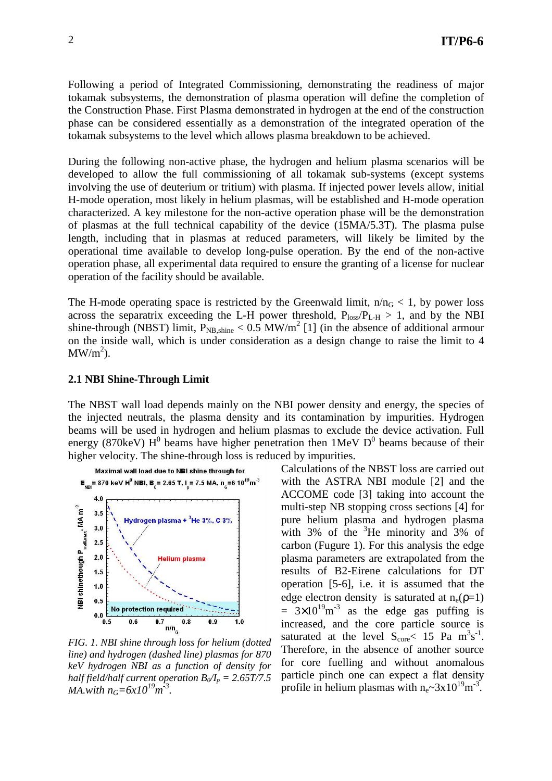Following a period of Integrated Commissioning, demonstrating the readiness of major tokamak subsystems, the demonstration of plasma operation will define the completion of the Construction Phase. First Plasma demonstrated in hydrogen at the end of the construction phase can be considered essentially as a demonstration of the integrated operation of the tokamak subsystems to the level which allows plasma breakdown to be achieved.

During the following non-active phase, the hydrogen and helium plasma scenarios will be developed to allow the full commissioning of all tokamak sub-systems (except systems involving the use of deuterium or tritium) with plasma. If injected power levels allow, initial H-mode operation, most likely in helium plasmas, will be established and H-mode operation characterized. A key milestone for the non-active operation phase will be the demonstration of plasmas at the full technical capability of the device (15MA/5.3T). The plasma pulse length, including that in plasmas at reduced parameters, will likely be limited by the operational time available to develop long-pulse operation. By the end of the non-active operation phase, all experimental data required to ensure the granting of a license for nuclear operation of the facility should be available.

The H-mode operating space is restricted by the Greenwald limit,  $n/n<sub>G</sub> < 1$ , by power loss across the separatrix exceeding the L-H power threshold,  $P_{loss}/P_{L-H} > 1$ , and by the NBI shine-through (NBST) limit,  $P_{NB, shine} < 0.5$  MW/m<sup>2</sup> [1] (in the absence of additional armour on the inside wall, which is under consideration as a design change to raise the limit to 4  $MW/m<sup>2</sup>)$ .

### **2.1 NBI Shine-Through Limit**

The NBST wall load depends mainly on the NBI power density and energy, the species of the injected neutrals, the plasma density and its contamination by impurities. Hydrogen beams will be used in hydrogen and helium plasmas to exclude the device activation. Full energy (870keV)  $H^0$  beams have higher penetration then 1MeV  $D^0$  beams because of their higher velocity. The shine-through loss is reduced by impurities.



*FIG. 1. NBI shine through loss for helium (dotted line) and hydrogen (dashed line) plasmas for 870 keV hydrogen NBI as a function of density for half field/half current operation*  $B_0/I_p = 2.65T/7.5$ *MA.with*  $n_G = 6x10^{19} m^3$ .

Calculations of the NBST loss are carried out with the ASTRA NBI module [2] and the ACCOME code [3] taking into account the multi-step NB stopping cross sections [4] for pure helium plasma and hydrogen plasma with 3% of the  ${}^{3}$ He minority and 3% of carbon (Fugure 1). For this analysis the edge plasma parameters are extrapolated from the results of B2-Eirene calculations for DT operation [5-6], i.e. it is assumed that the edge electron density is saturated at  $n_e(p=1)$  $= 3 \times 10^{19} \text{m}^{-3}$  as the edge gas puffing is increased, and the core particle source is saturated at the level  $S_{\text{core}} < 15$  Pa  $\text{m}^3\text{s}^{-1}$ . Therefore, in the absence of another source for core fuelling and without anomalous particle pinch one can expect a flat density profile in helium plasmas with  $n_e \sim 3 \times 10^{19} \text{m}^{-3}$ .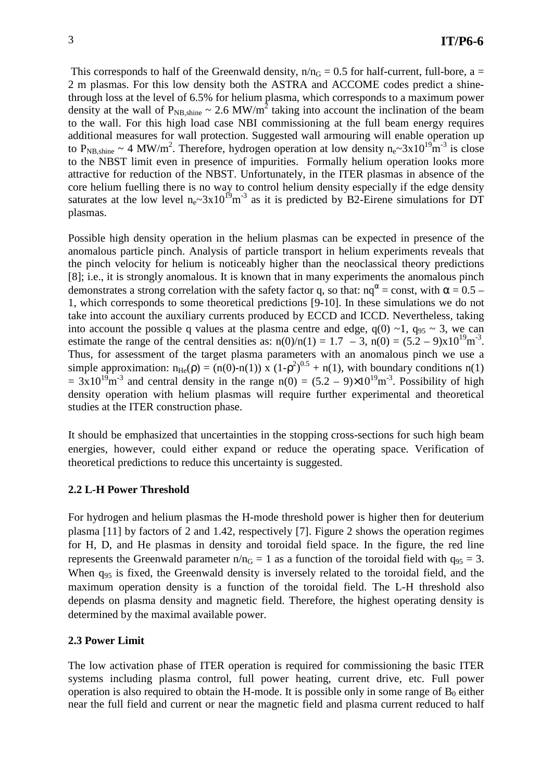This corresponds to half of the Greenwald density,  $n/n<sub>G</sub> = 0.5$  for half-current, full-bore, a = 2 m plasmas. For this low density both the ASTRA and ACCOME codes predict a shinethrough loss at the level of 6.5% for helium plasma, which corresponds to a maximum power density at the wall of  $P_{NB, shine} \sim 2.6 \text{ MW/m}^2$  taking into account the inclination of the beam to the wall. For this high load case NBI commissioning at the full beam energy requires additional measures for wall protection. Suggested wall armouring will enable operation up to  $P_{NB, shine} \sim 4 \text{ MW/m}^2$ . Therefore, hydrogen operation at low density  $n_e \sim 3 \times 10^{19} \text{m}^{-3}$  is close to the NBST limit even in presence of impurities. Formally helium operation looks more attractive for reduction of the NBST. Unfortunately, in the ITER plasmas in absence of the core helium fuelling there is no way to control helium density especially if the edge density saturates at the low level  $n_e \sim 3x10^{19} m^{-3}$  as it is predicted by B2-Eirene simulations for DT plasmas.

Possible high density operation in the helium plasmas can be expected in presence of the anomalous particle pinch. Analysis of particle transport in helium experiments reveals that the pinch velocity for helium is noticeably higher than the neoclassical theory predictions [8]; i.e., it is strongly anomalous. It is known that in many experiments the anomalous pinch demonstrates a strong correlation with the safety factor q, so that:  $nq^{\alpha}$  = const, with  $\alpha$  = 0.5 – 1, which corresponds to some theoretical predictions [9-10]. In these simulations we do not take into account the auxiliary currents produced by ECCD and ICCD. Nevertheless, taking into account the possible q values at the plasma centre and edge,  $q(0) \sim 1$ ,  $q_{95} \sim 3$ , we can estimate the range of the central densities as:  $n(0)/n(1) = 1.7 - 3$ ,  $n(0) = (5.2 - 9)x10^{19}m^{-3}$ . Thus, for assessment of the target plasma parameters with an anomalous pinch we use a simple approximation:  $n_{He}(\rho) = (n(0)-n(1)) x (1-\rho^2)^{0.5} + n(1)$ , with boundary conditions  $n(1)$  $= 3x10^{19}$ m<sup>-3</sup> and central density in the range n(0) =  $(5.2 - 9) \times 10^{19}$ m<sup>-3</sup>. Possibility of high density operation with helium plasmas will require further experimental and theoretical studies at the ITER construction phase.

It should be emphasized that uncertainties in the stopping cross-sections for such high beam energies, however, could either expand or reduce the operating space. Verification of theoretical predictions to reduce this uncertainty is suggested.

#### **2.2 L-H Power Threshold**

For hydrogen and helium plasmas the H-mode threshold power is higher then for deuterium plasma [11] by factors of 2 and 1.42, respectively [7]. Figure 2 shows the operation regimes for H, D, and He plasmas in density and toroidal field space. In the figure, the red line represents the Greenwald parameter  $n/n<sub>G</sub> = 1$  as a function of the toroidal field with  $q_{95} = 3$ . When  $q_{95}$  is fixed, the Greenwald density is inversely related to the toroidal field, and the maximum operation density is a function of the toroidal field. The L-H threshold also depends on plasma density and magnetic field. Therefore, the highest operating density is determined by the maximal available power.

#### **2.3 Power Limit**

The low activation phase of ITER operation is required for commissioning the basic ITER systems including plasma control, full power heating, current drive, etc. Full power operation is also required to obtain the H-mode. It is possible only in some range of  $B_0$  either near the full field and current or near the magnetic field and plasma current reduced to half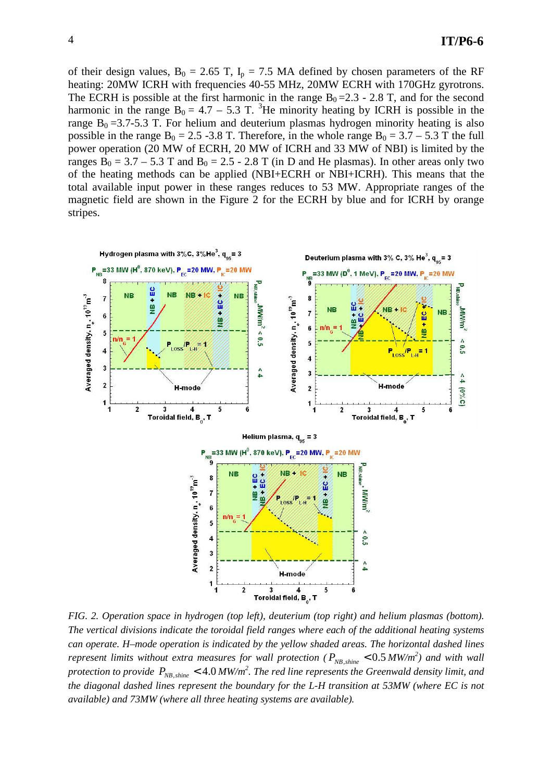of their design values,  $B_0 = 2.65$  T,  $I_p = 7.5$  MA defined by chosen parameters of the RF heating: 20MW ICRH with frequencies 40-55 MHz, 20MW ECRH with 170GHz gyrotrons. The ECRH is possible at the first harmonic in the range  $B_0 = 2.3 - 2.8$  T, and for the second harmonic in the range  $B_0 = 4.7 - 5.3$  T. <sup>3</sup>He minority heating by ICRH is possible in the range  $B_0 = 3.7-5.3$  T. For helium and deuterium plasmas hydrogen minority heating is also possible in the range  $B_0 = 2.5 - 3.8$  T. Therefore, in the whole range  $B_0 = 3.7 - 5.3$  T the full power operation (20 MW of ECRH, 20 MW of ICRH and 33 MW of NBI) is limited by the ranges  $B_0 = 3.7 - 5.3$  T and  $B_0 = 2.5 - 2.8$  T (in D and He plasmas). In other areas only two of the heating methods can be applied (NBI+ECRH or NBI+ICRH). This means that the total available input power in these ranges reduces to 53 MW. Appropriate ranges of the magnetic field are shown in the Figure 2 for the ECRH by blue and for ICRH by orange stripes.



*FIG. 2. Operation space in hydrogen (top left), deuterium (top right) and helium plasmas (bottom). The vertical divisions indicate the toroidal field ranges where each of the additional heating systems can operate. H–mode operation is indicated by the yellow shaded areas. The horizontal dashed lines represent limits without extra measures for wall protection (* $P_{NB, shine} < 0.5 \, MW/m^2$ *) and with wall protection to provide*  $P_{NB,shine} < 4.0$  *MW/m<sup>2</sup>. The red line represents the Greenwald density limit, and the diagonal dashed lines represent the boundary for the L-H transition at 53MW (where EC is not available) and 73MW (where all three heating systems are available).*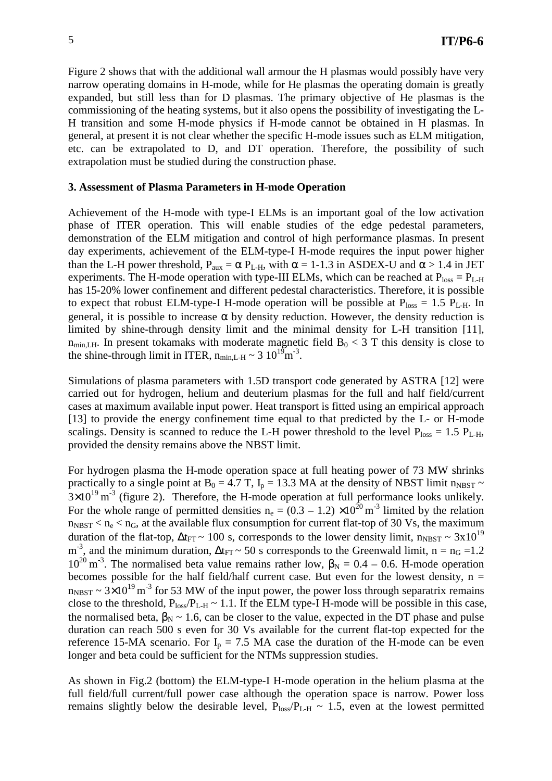Figure 2 shows that with the additional wall armour the H plasmas would possibly have very narrow operating domains in H-mode, while for He plasmas the operating domain is greatly expanded, but still less than for D plasmas. The primary objective of He plasmas is the commissioning of the heating systems, but it also opens the possibility of investigating the L-H transition and some H-mode physics if H-mode cannot be obtained in H plasmas. In general, at present it is not clear whether the specific H-mode issues such as ELM mitigation, etc. can be extrapolated to D, and DT operation. Therefore, the possibility of such extrapolation must be studied during the construction phase.

### **3. Assessment of Plasma Parameters in H-mode Operation**

Achievement of the H-mode with type-I ELMs is an important goal of the low activation phase of ITER operation. This will enable studies of the edge pedestal parameters, demonstration of the ELM mitigation and control of high performance plasmas. In present day experiments, achievement of the ELM-type-I H-mode requires the input power higher than the L-H power threshold,  $P_{aux} = \alpha P_{L-H}$ , with  $\alpha = 1$ -1.3 in ASDEX-U and  $\alpha > 1.4$  in JET experiments. The H-mode operation with type-III ELMs, which can be reached at  $P_{loss} = P_{L-H}$ has 15-20% lower confinement and different pedestal characteristics. Therefore, it is possible to expect that robust ELM-type-I H-mode operation will be possible at  $P_{loss} = 1.5 P_{L-H}$ . In general, it is possible to increase  $\alpha$  by density reduction. However, the density reduction is limited by shine-through density limit and the minimal density for L-H transition [11],  $n_{min,LH}$ . In present tokamaks with moderate magnetic field  $B_0 < 3$  T this density is close to the shine-through limit in ITER,  $n_{min,L-H} \sim 3 \cdot 10^{19} \text{m}^{-3}$ .

Simulations of plasma parameters with 1.5D transport code generated by ASTRA [12] were carried out for hydrogen, helium and deuterium plasmas for the full and half field/current cases at maximum available input power. Heat transport is fitted using an empirical approach [13] to provide the energy confinement time equal to that predicted by the L- or H-mode scalings. Density is scanned to reduce the L-H power threshold to the level  $P_{loss} = 1.5 P_{L-H}$ , provided the density remains above the NBST limit.

For hydrogen plasma the H-mode operation space at full heating power of 73 MW shrinks practically to a single point at B<sub>0</sub> = 4.7 T, I<sub>p</sub> = 13.3 MA at the density of NBST limit n<sub>NBST</sub> ~  $3 \times 10^{19}$  m<sup>-3</sup> (figure 2). Therefore, the H-mode operation at full performance looks unlikely. For the whole range of permitted densities  $n_e = (0.3 - 1.2) \times 10^{20} \text{ m}^3$  limited by the relation  $n_{\text{NBST}}$  <  $n_e$  <  $n_G$ , at the available flux consumption for current flat-top of 30 Vs, the maximum duration of the flat-top,  $\Delta t_{FT}$  ~ 100 s, corresponds to the lower density limit,  $n_{NBST} \sim 3x10^{19}$ m<sup>-3</sup>, and the minimum duration,  $\Delta t_{FT}$  ~ 50 s corresponds to the Greenwald limit, n = n<sub>G</sub> = 1.2  $10^{20}$  m<sup>-3</sup>. The normalised beta value remains rather low, β<sub>N</sub> = 0.4 – 0.6. H-mode operation becomes possible for the half field/half current case. But even for the lowest density,  $n =$  $n_{\text{NBST}} \sim 3 \times 10^{19} \text{ m}^{-3}$  for 53 MW of the input power, the power loss through separatrix remains close to the threshold,  $P_{loss}/P_{L-H} \sim 1.1$ . If the ELM type-I H-mode will be possible in this case, the normalised beta,  $\beta_N \sim 1.6$ , can be closer to the value, expected in the DT phase and pulse duration can reach 500 s even for 30 Vs available for the current flat-top expected for the reference 15-MA scenario. For  $I_p = 7.5$  MA case the duration of the H-mode can be even longer and beta could be sufficient for the NTMs suppression studies.

As shown in Fig.2 (bottom) the ELM-type-I H-mode operation in the helium plasma at the full field/full current/full power case although the operation space is narrow. Power loss remains slightly below the desirable level,  $P_{loss}/P_{L-H} \sim 1.5$ , even at the lowest permitted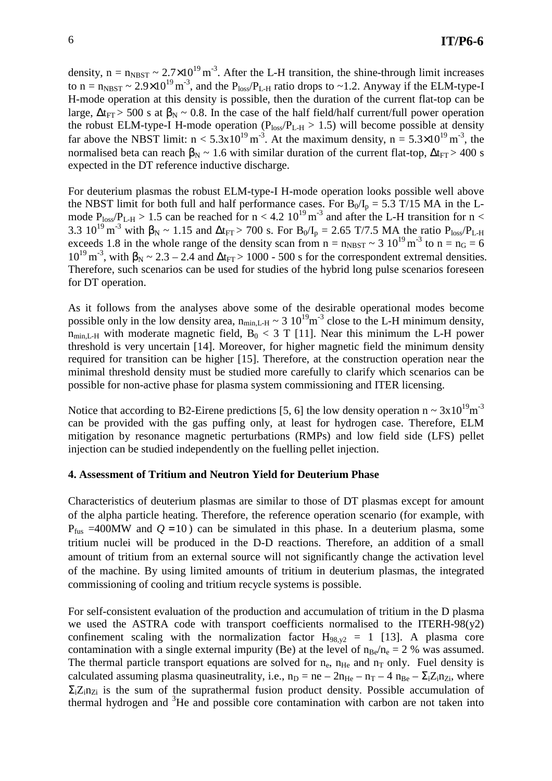density,  $n = n_{NBST} \sim 2.7 \times 10^{19} \text{ m}^{-3}$ . After the L-H transition, the shine-through limit increases to  $n = n_{N\text{BST}} \sim 2.9 \times 10^{19} \text{ m}^{-3}$ , and the  $P_{loss}/P_{L-H}$  ratio drops to ~1.2. Anyway if the ELM-type-I H-mode operation at this density is possible, then the duration of the current flat-top can be large,  $\Delta t_{\text{FT}}$  > 500 s at  $\beta_{\text{N}} \sim 0.8$ . In the case of the half field/half current/full power operation the robust ELM-type-I H-mode operation ( $P_{loss}/P_{L-H} > 1.5$ ) will become possible at density far above the NBST limit:  $n < 5.3 \times 10^{19} \text{ m}^3$ . At the maximum density,  $n = 5.3 \times 10^{19} \text{ m}^3$ , the normalised beta can reach  $\beta_N \sim 1.6$  with similar duration of the current flat-top,  $\Delta t_{\text{FT}} > 400$  s expected in the DT reference inductive discharge.

For deuterium plasmas the robust ELM-type-I H-mode operation looks possible well above the NBST limit for both full and half performance cases. For  $B_0/I_p = 5.3$  T/15 MA in the Lmode  $P_{loss}/P_{L-H} > 1.5$  can be reached for  $n < 4.2 \, 10^{19} \, \text{m}^{-3}$  and after the L-H transition for  $n <$ 3.3 10<sup>19</sup> m<sup>-3</sup> with  $\beta_N \sim 1.15$  and  $\Delta t_{FT} > 700$  s. For B<sub>0</sub>/I<sub>p</sub> = 2.65 T/7.5 MA the ratio P<sub>loss</sub>/P<sub>L-H</sub> exceeds 1.8 in the whole range of the density scan from  $n = n_{N+} \approx 3 \frac{10^{19}}{10^{3}} \text{ m}^{-3}$  to  $n = n_G = 6$  $10^{19}$  m<sup>-3</sup>, with β<sub>N</sub> ~ 2.3 – 2.4 and Δt<sub>FT</sub> > 1000 - 500 s for the correspondent extremal densities. Therefore, such scenarios can be used for studies of the hybrid long pulse scenarios foreseen for DT operation.

As it follows from the analyses above some of the desirable operational modes become possible only in the low density area,  $n_{min,L-H} \sim 3 \, 10^{19} \text{m}^{-3}$  close to the L-H minimum density,  $n_{\text{min,L-H}}$  with moderate magnetic field,  $B_0 < 3$  T [11]. Near this minimum the L-H power threshold is very uncertain [14]. Moreover, for higher magnetic field the minimum density required for transition can be higher [15]. Therefore, at the construction operation near the minimal threshold density must be studied more carefully to clarify which scenarios can be possible for non-active phase for plasma system commissioning and ITER licensing.

Notice that according to B2-Eirene predictions [5, 6] the low density operation n ~  $3x10^{19}$ m<sup>-3</sup> can be provided with the gas puffing only, at least for hydrogen case. Therefore, ELM mitigation by resonance magnetic perturbations (RMPs) and low field side (LFS) pellet injection can be studied independently on the fuelling pellet injection.

## **4. Assessment of Tritium and Neutron Yield for Deuterium Phase**

Characteristics of deuterium plasmas are similar to those of DT plasmas except for amount of the alpha particle heating. Therefore, the reference operation scenario (for example, with  $P_{fus}$  =400MW and  $Q = 10$ ) can be simulated in this phase. In a deuterium plasma, some tritium nuclei will be produced in the D-D reactions. Therefore, an addition of a small amount of tritium from an external source will not significantly change the activation level of the machine. By using limited amounts of tritium in deuterium plasmas, the integrated commissioning of cooling and tritium recycle systems is possible.

For self-consistent evaluation of the production and accumulation of tritium in the D plasma we used the ASTRA code with transport coefficients normalised to the ITERH-98( $y2$ ) confinement scaling with the normalization factor  $H_{98,y2} = 1$  [13]. A plasma core contamination with a single external impurity (Be) at the level of  $n_{Be}/n_e = 2$  % was assumed. The thermal particle transport equations are solved for  $n_e$ ,  $n_{He}$  and  $n_T$  only. Fuel density is calculated assuming plasma quasineutrality, i.e.,  $n_D = ne - 2n_{He} - n_T - 4 n_{Be} - \Sigma_i Z_i n_{Zi}$ , where  $\Sigma_{i}Z_{i}n_{\Sigma_{i}}$  is the sum of the suprathermal fusion product density. Possible accumulation of thermal hydrogen and  ${}^{3}$ He and possible core contamination with carbon are not taken into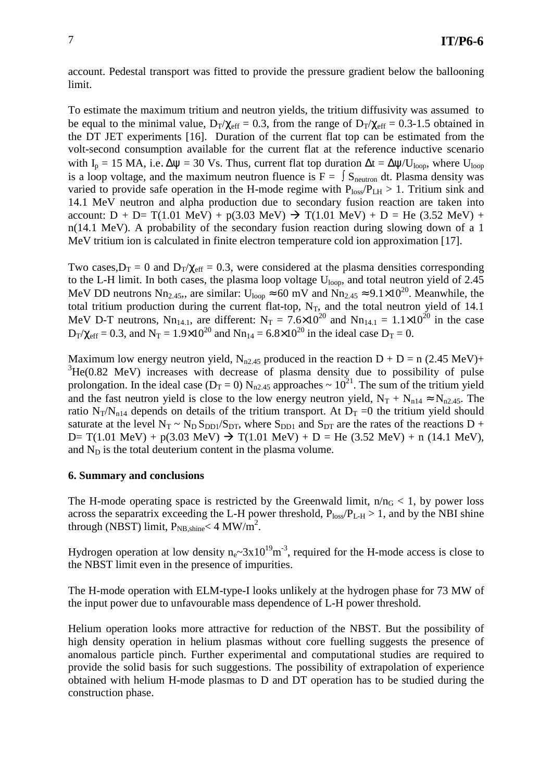account. Pedestal transport was fitted to provide the pressure gradient below the ballooning limit.

To estimate the maximum tritium and neutron yields, the tritium diffusivity was assumed to be equal to the minimal value,  $D_T/\chi_{\text{eff}} = 0.3$ , from the range of  $D_T/\chi_{\text{eff}} = 0.3$ -1.5 obtained in the DT JET experiments [16]. Duration of the current flat top can be estimated from the volt-second consumption available for the current flat at the reference inductive scenario with I<sub>p</sub> = 15 MA, i.e.  $\Delta \psi$  = 30 Vs. Thus, current flat top duration  $\Delta t = \Delta \psi / U_{\text{loop}}$ , where  $U_{\text{loop}}$ is a loop voltage, and the maximum neutron fluence is  $F = \int S_{\text{neutron}} dt$ . Plasma density was varied to provide safe operation in the H-mode regime with  $P_{\text{loss}}/P_{\text{LH}} > 1$ . Tritium sink and 14.1 MeV neutron and alpha production due to secondary fusion reaction are taken into account:  $D + D = T(1.01 \text{ MeV}) + p(3.03 \text{ MeV}) \rightarrow T(1.01 \text{ MeV}) + D = He (3.52 \text{ MeV}) +$ n(14.1 MeV). A probability of the secondary fusion reaction during slowing down of a 1 MeV tritium ion is calculated in finite electron temperature cold ion approximation [17].

Two cases,  $D_T = 0$  and  $D_T/\chi_{eff} = 0.3$ , were considered at the plasma densities corresponding to the L-H limit. In both cases, the plasma loop voltage  $U_{\text{loop}}$ , and total neutron yield of 2.45 MeV DD neutrons Nn<sub>2.45</sub>,, are similar:  $U_{loop} \approx 60$  mV and Nn<sub>2.45</sub>  $\approx 9.1 \times 10^{20}$ . Meanwhile, the total tritium production during the current flat-top,  $N_T$ , and the total neutron yield of 14.1 MeV D-T neutrons, Nn<sub>14.1</sub>, are different: N<sub>T</sub> = 7.6×10<sup>20</sup> and Nn<sub>14.1</sub> = 1.1×10<sup>20</sup> in the case  $D_T/\chi_{eff} = 0.3$ , and  $N_T = 1.9 \times 10^{20}$  and  $Nn_{14} = 6.8 \times 10^{20}$  in the ideal case  $D_T = 0$ .

Maximum low energy neutron yield, N<sub>n2.45</sub> produced in the reaction  $D + D = n (2.45 \text{ MeV}) +$  ${}^{3}He(0.82 \text{ MeV})$  increases with decrease of plasma density due to possibility of pulse prolongation. In the ideal case ( $D_T = 0$ ) N<sub>n2.45</sub> approaches ~ 10<sup>21</sup>. The sum of the tritium yield and the fast neutron yield is close to the low energy neutron yield,  $N_T + N_{n14} \approx N_{n2.45}$ . The ratio N<sub>T</sub>/N<sub>n14</sub> depends on details of the tritium transport. At  $D_T = 0$  the tritium yield should saturate at the level  $N_T \sim N_D S_{DD1}/S_{DT}$ , where  $S_{DD1}$  and  $S_{DT}$  are the rates of the reactions D + D= T(1.01 MeV) + p(3.03 MeV)  $\rightarrow$  T(1.01 MeV) + D = He (3.52 MeV) + n (14.1 MeV), and  $N_D$  is the total deuterium content in the plasma volume.

### **6. Summary and conclusions**

The H-mode operating space is restricted by the Greenwald limit,  $n/n<sub>G</sub> < 1$ , by power loss across the separatrix exceeding the L-H power threshold,  $P_{loss}/P_{L-H} > 1$ , and by the NBI shine through (NBST) limit,  $P_{NB, shine} < 4 \text{ MW/m}^2$ .

Hydrogen operation at low density  $n_e \sim 3x10^{19} m^{-3}$ , required for the H-mode access is close to the NBST limit even in the presence of impurities.

The H-mode operation with ELM-type-I looks unlikely at the hydrogen phase for 73 MW of the input power due to unfavourable mass dependence of L-H power threshold.

Helium operation looks more attractive for reduction of the NBST. But the possibility of high density operation in helium plasmas without core fuelling suggests the presence of anomalous particle pinch. Further experimental and computational studies are required to provide the solid basis for such suggestions. The possibility of extrapolation of experience obtained with helium H-mode plasmas to D and DT operation has to be studied during the construction phase.